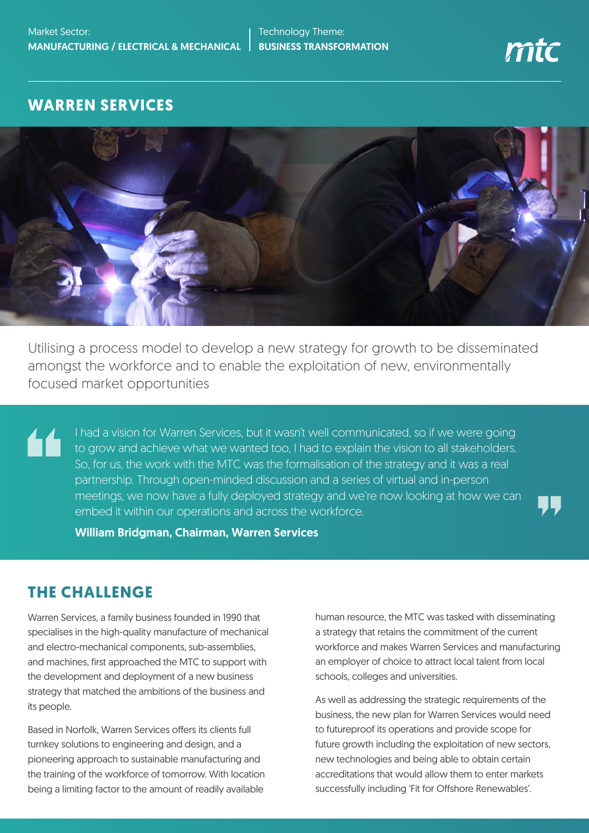#### **WARREN SERVICES**



Utilising a process model to develop a new strategy for growth to be disseminated amongst the workforce and to enable the exploitation of new, environmentally focused market opportunities

I had a vision for Warren Services, but it wasn't well communicated, so if we were going 44 to grow and achieve what we wanted too, I had to explain the vision to all stakeholders. So, for us, the work with the MTC was the formalisation of the strategy and it was a real partnership. Through open-minded discussion and a series of virtual and in-person meetings, we now have a fully deployed strategy and we're now looking at how we can embed it within our operations and across the workforce.

William Bridgman, Chairman, Warren Services

## **THE CHALLENGE**

Warren Services, a family business founded in 1990 that specialises in the high-quality manufacture of mechanical and electro-mechanical components, sub-assemblies, and machines, first approached the MTC to support with the development and deployment of a new business strategy that matched the ambitions of the business and its people.

Based in Norfolk, Warren Services offers its clients full turnkey solutions to engineering and design, and a pioneering approach to sustainable manufacturing and the training of the workforce of tomorrow. With location being a limiting factor to the amount of readily available

human resource, the MTC was tasked with disseminating a strategy that retains the commitment of the current workforce and makes Warren Services and manufacturing an employer of choice to attract local talent from local schools, colleges and universities.

As well as addressing the strategic requirements of the business, the new plan for Warren Services would need to futureproof its operations and provide scope for future growth including the exploitation of new sectors, new technologies and being able to obtain certain accreditations that would allow them to enter markets successfully including 'Fit for Offshore Renewables'.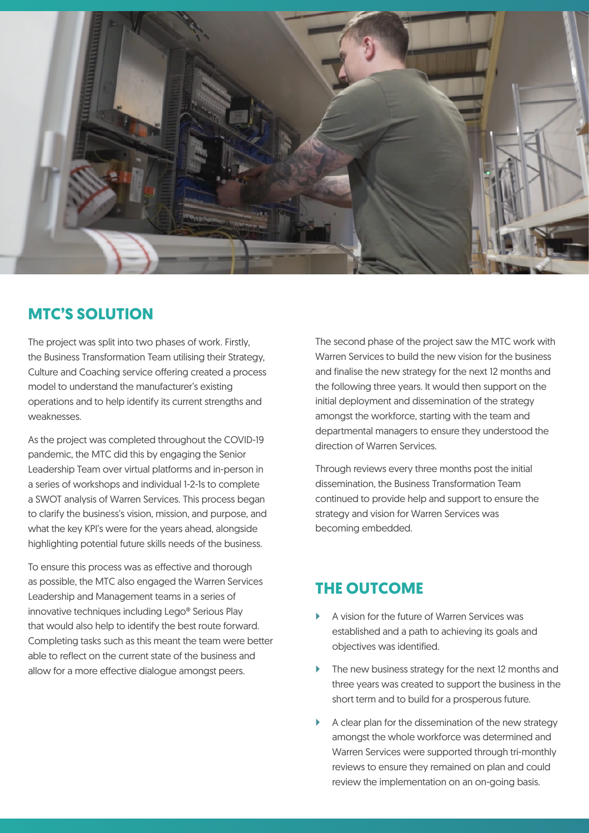

### **MTC'S SOLUTION**

The project was split into two phases of work. Firstly, the Business Transformation Team utilising their Strategy, Culture and Coaching service offering created a process model to understand the manufacturer's existing operations and to help identify its current strengths and weaknesses.

As the project was completed throughout the COVID-19 pandemic, the MTC did this by engaging the Senior Leadership Team over virtual platforms and in-person in a series of workshops and individual 1-2-1s to complete a SWOT analysis of Warren Services. This process began to clarify the business's vision, mission, and purpose, and what the key KPI's were for the years ahead, alongside highlighting potential future skills needs of the business.

To ensure this process was as effective and thorough as possible, the MTC also engaged the Warren Services Leadership and Management teams in a series of innovative techniques including Lego® Serious Play that would also help to identify the best route forward. Completing tasks such as this meant the team were better able to reflect on the current state of the business and allow for a more effective dialogue amongst peers.

The second phase of the project saw the MTC work with Warren Services to build the new vision for the business and finalise the new strategy for the next 12 months and the following three years. It would then support on the initial deployment and dissemination of the strategy amongst the workforce, starting with the team and departmental managers to ensure they understood the direction of Warren Services.

Through reviews every three months post the initial dissemination, the Business Transformation Team continued to provide help and support to ensure the strategy and vision for Warren Services was becoming embedded.

## **THE OUTCOME**

- ` A vision for the future of Warren Services was established and a path to achieving its goals and objectives was identified.
- The new business strategy for the next 12 months and three years was created to support the business in the short term and to build for a prosperous future.
- A clear plan for the dissemination of the new strategy amongst the whole workforce was determined and Warren Services were supported through tri-monthly reviews to ensure they remained on plan and could review the implementation on an on-going basis.